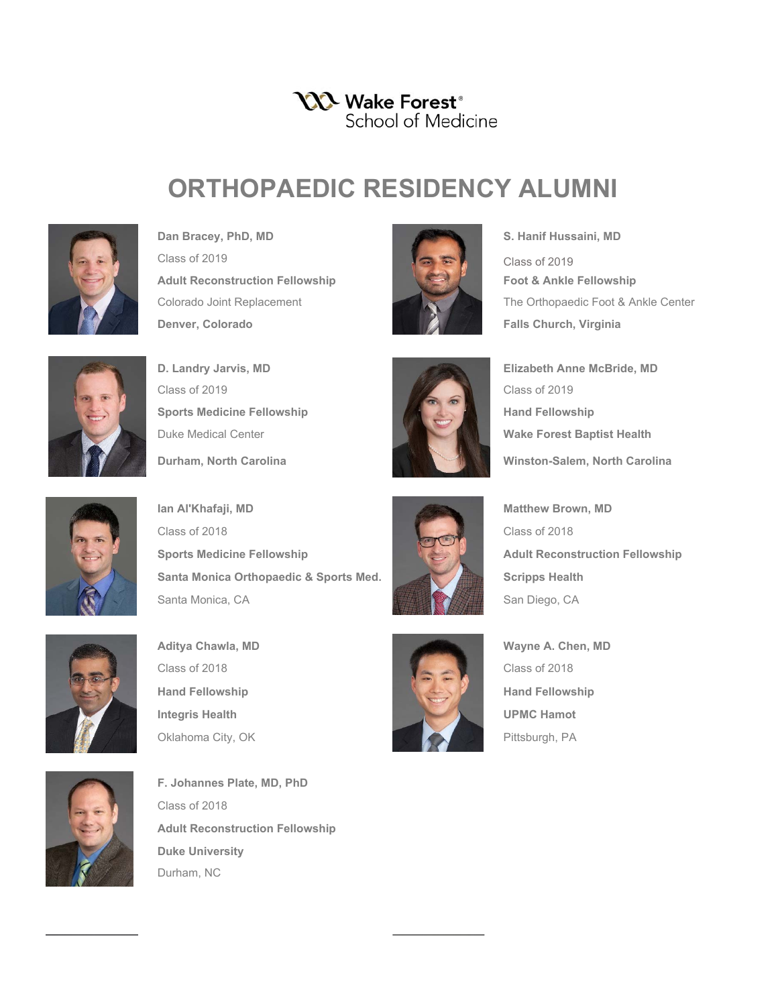## YYY Wake Forest<sup>®</sup> School of Medicine

## **ORTHOPAEDIC RESIDENCY ALUMNI**



Dan Bracey, PhD, MD **S. Hanif Hussaini, MD** Class of 2019 **Adult Reconstruction Fellowship Foot & Ankle Fellowship** Colorado Joint Replacement The Orthopaedic Foot & Ankle Center **Denver, Colorado Falls Church, Virginia** 



Class of 2019 Class of 2019 **Sports Medicine Fellowship Hand Fellowship** Hand Fellowship Duke Medical Center **Wake Forest Baptist Health Durham, North Carolina Winston-Salem, North Carolina** 



**D. Landry Jarvis, MD Elizabeth Anne McBride, MD**



**Ian Al'Khafaji, MD Matthew Brown, MD** Class of 2018 Class of 2018 **Sports Medicine Fellowship Adult Reconstruction Fellowship** Santa Monica Orthopaedic & Sports Med. Santa Monica Orthopaedic & Sports Med. Santa Monica, CA Santa Monica, CA San Diego, CA





Class of 2018 Class of 2018 **Hand Fellowship Example 19 and Fellowship** Hand Fellowship **Integris Health Integris Health Integris Health UPMC Hamot** Oklahoma City, OK Pittsburgh, PA





**F. Johannes Plate, MD, PhD** Class of 2018 **Adult Reconstruction Fellowship Duke University** Durham, NC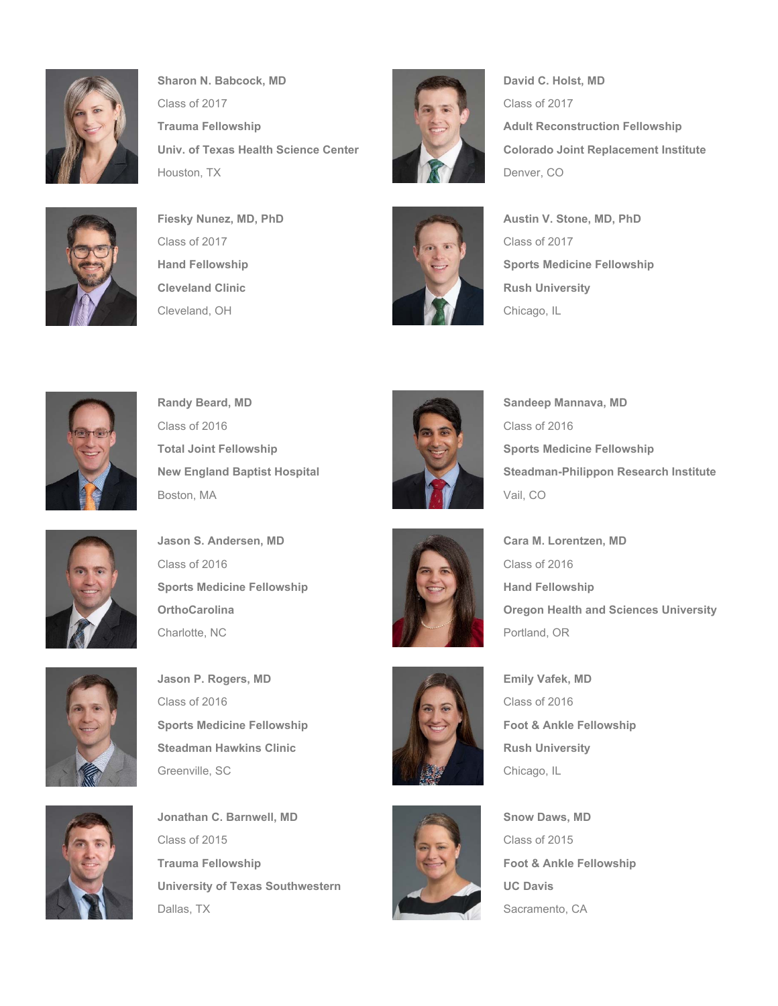

**Sharon N. Babcock, MD David C. Holst, MD David C. Holst, MD** Class of 2017 Class of 2017 **Trauma Fellowship Adult Reconstruction Fellowship** Univ. of Texas Health Science Center **Colorado Joint Replacement Institute** Houston, TX Denver, CO



Class of 2017 Class of 2017 **Cleveland Clinic Clinic Rush University Rush University** Cleveland, OH Chicago, IL









**Randy Beard, MD Sandeep Mannava, MD** Sandeep Mannava, MD Class of 2016 Class of 2016 **Total Joint Fellowship Sports Medicine Fellowship** Sports Medicine Fellowship Boston, MA Vail, CO



New England Baptist Hospital Steadman-Philippon Research Institute



**Jason S. Andersen, MD Cara M. Lorentzen, MD** Class of 2016 Class of 2016 **Sports Medicine Fellowship Hand Fellowship** Hand Fellowship Charlotte, NC **Portland, OR** Portland, OR



**Jason P. Rogers, MD Emily Vafek, MD** Class of 2016 Class of 2016 **Sports Medicine Fellowship Foot & Ankle Fellowship** Steadman Hawkins Clinic **Rush Communist Steadman Hawkins Clinic** Greenville, SC Chicago, IL Chicago, IL Chicago, IL



**Jonathan C. Barnwell, MD Snow Daws, MD Snow Daws, MD** Class of 2015 Class of 2015 **Trauma Fellowship Foot & Ankle Fellowship** Frauma Fellowship University of Texas Southwestern **UC Davis** Dallas, TX Sacramento, CA







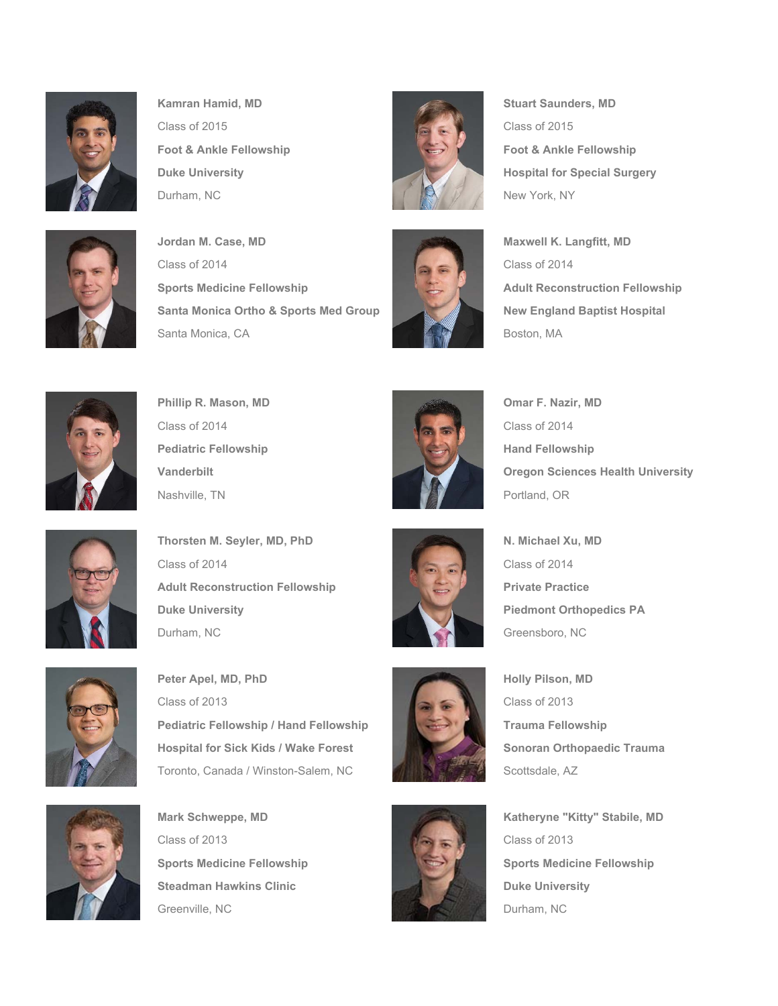

**Kamran Hamid, MD** Stuart Saunders, MD Class of 2015 Class of 2015 **Foot & Ankle Fellowship Foot & Ankle Fellowship** Durham, NC New York, NY



**Jordan M. Case, MD Maxwell K. Langfitt, MD** Class of 2014 Class of 2014 **Sports Medicine Fellowship Adult Reconstruction Fellowship Santa Monica Ortho & Sports Med Group New England Baptist Hospital** Santa Monica, CA Boston, MA





**Duke University Contract Contract Contract Contract Contract Contract Contract Contract Contract Contract Contract Contract Contract Contract Contract Contract Contract Contract Contract Contract Contract Contract Contrac** 





**Phillip R. Mason, MD Omar F. Nazir, MD** Omar F. Nazir, MD Class of 2014 Class of 2014 **Pediatric Fellowship Contract Contract Contract Contract Contract Pediatric Fellowship** Nashville, TN Portland, OR



**Vanderbilt Vanderbilt Oregon Sciences Health University** 



**Thorsten M. Seyler, MD, PhD N. Michael Xu, MD** Class of 2014 Class of 2014 **Adult Reconstruction Fellowship Private Practice Practice Duke University Piedmont Orthopedics PA** Durham, NC Greensboro, NC Greensboro, NC



Peter Apel, MD, PhD **Holly Pilson, MD** Class of 2013 Class of 2013 **Pediatric Fellowship / Hand Fellowship Trauma Fellowship Hospital for Sick Kids / Wake Forest Sonoran Orthopaedic Trauma** Toronto, Canada / Winston-Salem, NC MANA Scottsdale, AZ



**Mark Schweppe, MD Katheryne "Kitty" Stabile, MD** Class of 2013 Steadman Hawkins Clinic **Duke University** Duke University Greenville, NC **Durham, NC** Durham, NC









**Sports Medicine Fellowship Sports Medicine Fellowship** Sports Medicine Fellowship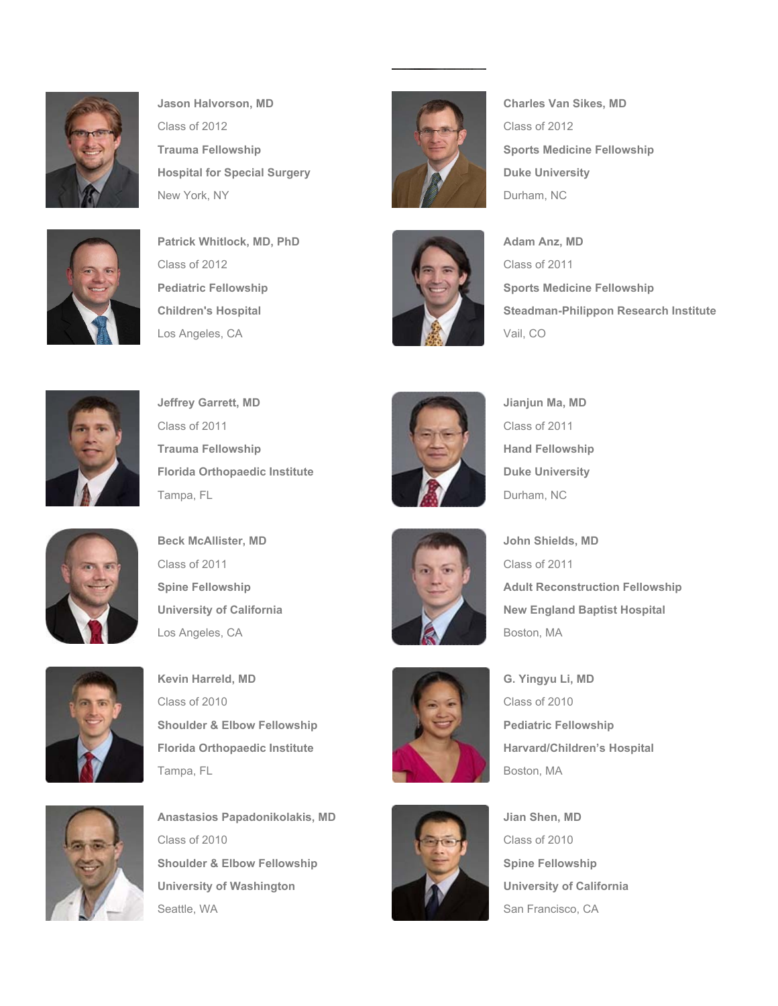

**Jason Halvorson, MD Charles Van Sikes, MD** Class of 2012 Class of 2012 **Hospital for Special Surgery Duke University** New York, NY Durham, NC



Class of 2012 Class of 2011 Los Angeles, CA Vail, CO



**Trauma Fellowship Sports Medicine Fellowship** Sports Medicine Fellowship



**Pediatric Fellowship Sports Medicine Fellowship Children's Hospital Steadman-Philippon Research Institute** 



**Jeffrey Garrett, MD** Jianjun Ma, MD Class of 2011 Class of 2011 **Trauma Fellowship Hand Fellowship Hand Fellowship Florida Orthopaedic Institute Duke University** Tampa, FL **Durham, NC** 2008 and 2008 and 2008 and 2008 and 2008 and 2008 and 2008 and 2008 and 2008 and 2008 and 2008 and 2008 and 2008 and 2008 and 2008 and 2008 and 2008 and 2008 and 2008 and 2008 and 2008 and 2008 and 2





**Beck McAllister, MD** John Shields, MD Class of 2011 Class of 2011 Los Angeles, CA Boston, MA



Kevin Harreld, MD **G. Yingyu Li, MD** Class of 2010 Class of 2010 **Shoulder & Elbow Fellowship Pediatric Fellowship Florida Orthopaedic Institute Harvard/Children's Hospital** Tampa, FL Boston, MA



**Anastasios Papadonikolakis, MD Jian Shen, MD Jian Shen, MD** Class of 2010 **Shoulder & Elbow Fellowship Spine Fellowship** Spine Fellowship University of Washington **University of California** Seattle, WA San Francisco, CA



**Spine Fellowship Adult Reconstruction Fellowship University of California** New England Baptist Hospital

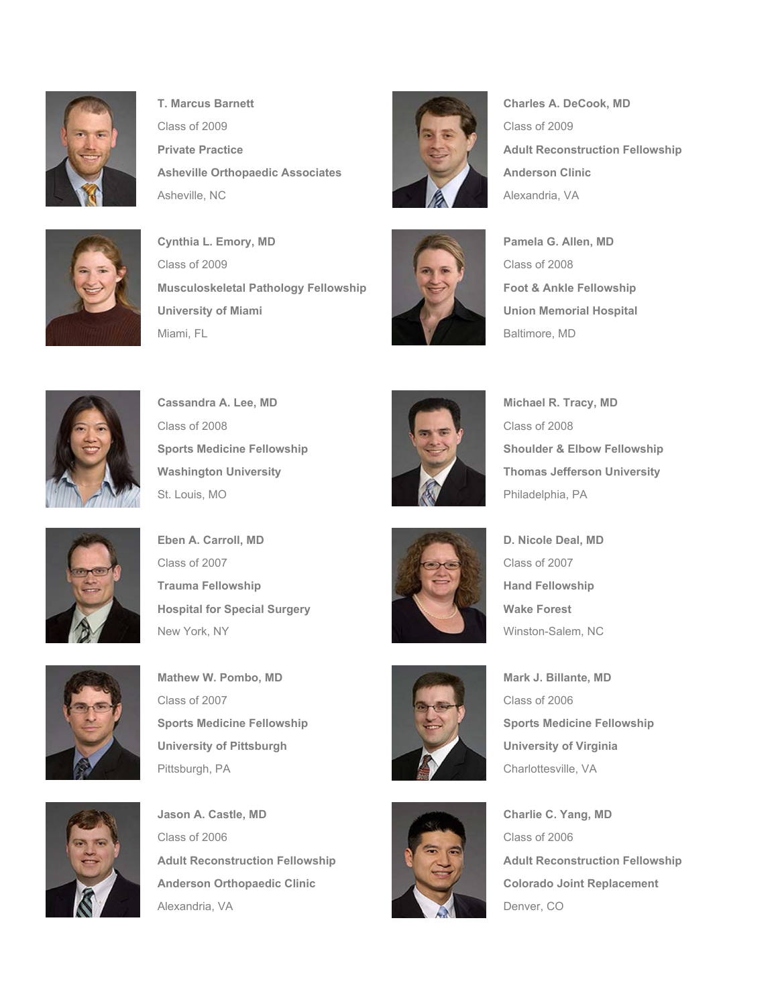

**T. Marcus Barnett Charles A. DeCook, MD** Class of 2009 Class of 2009 **Private Practice Adult Reconstruction Fellowship** Asheville Orthopaedic Associates **Anderson Clinic** Asheville, NC **Alexandria, VA** Alexandria, VA



**Cynthia L. Emory, MD Pamela G. Allen, MD** Class of 2009 Class of 2008 **Musculoskeletal Pathology Fellowship Foot & Ankle Fellowship** University of Miami **University of Miami University of Miami University of Miami University of Miami University** Miami, FL Baltimore, MD







**Cassandra A. Lee, MD Michael R. Tracy, MD** Class of 2008 Class of 2008 St. Louis, MO **Philadelphia, PA** 



**Sports Medicine Fellowship Shoulder & Elbow Fellowship** Shoulder & Elbow Fellowship Washington University **Thomas Jefferson University** 



**Eben A. Carroll, MD D. Nicole Deal, MD** Class of 2007 Class of 2007 **Trauma Fellowship Hand Fellowship Hand Fellowship Hospital for Special Surgery Wake Forest** New York, NY Winston-Salem, NC



**Mathew W. Pombo, MD Mark J. Billante, MD Mark J. Billante, MD** Class of 2007 Class of 2006 **Sports Medicine Fellowship Sports Medicine Fellowship** University of Pittsburgh **University of Virginia** Pittsburgh, PA Charlottesville, VA



**Jason A. Castle, MD Charlie C. Yang, MD** Class of 2006 Class of 2006 **Adult Reconstruction Fellowship Adult Reconstruction Fellowship Anderson Orthopaedic Clinic Colorado Joint Replacement** Alexandria, VA Denver, CO







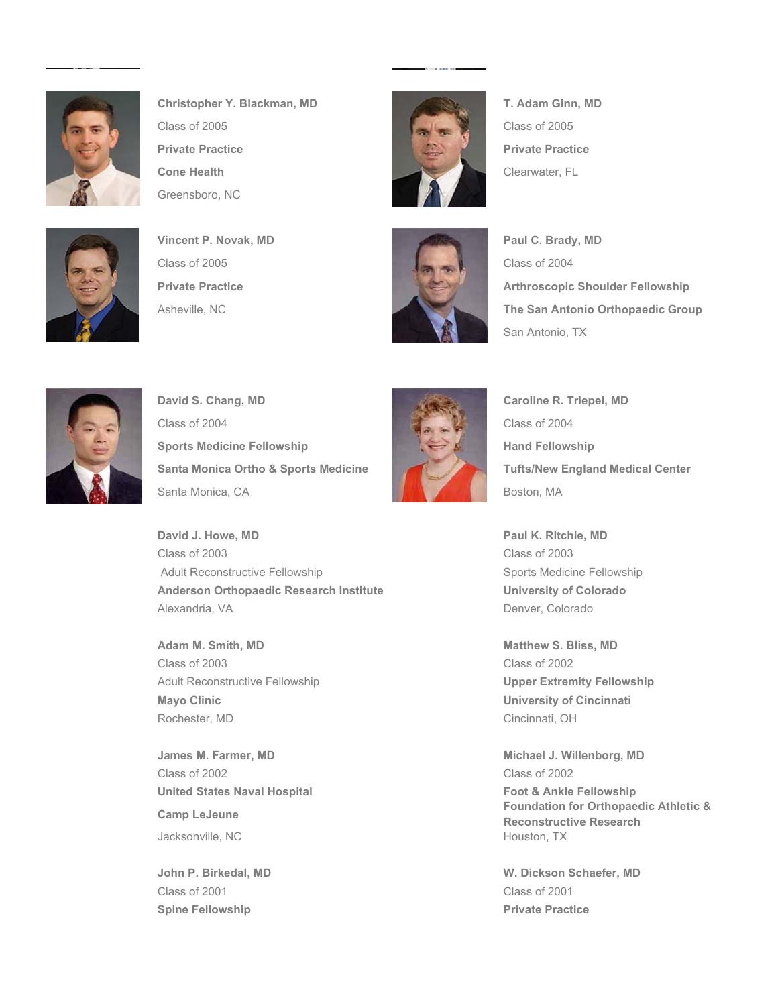

**Christopher Y. Blackman, MD T. Adam Ginn, MD** Class of 2005 Class of 2005 **Private Practice Private Practice Cone Health** Clearwater, FL Greensboro, NC







**Private Practice Arthroscopic Shoulder Fellowship** Asheville, NC **The San Antonio Orthopaedic Group** San Antonio, TX



**David S. Chang, MD Caroline R. Triepel, MD** Class of 2004 Class of 2004 Sports Medicine Fellowship **Hand Fellowship** Hand Fellowship **Santa Monica Ortho & Sports Medicine Tufts/New England Medical Center** Santa Monica, CA Boston, MA



Alexandria, VA **Denver, Colorado** 

**James M. Farmer, MD Michael J. Willenborg, MD Camp LeJeune Foundation for Orthopaedic Athletic & Reconstructive Research**

**John P. Birkedal, MD W. Dickson Schaefer, MD** 

**David J. Howe, MD Paul K. Ritchie, MD** Class of 2003 Class of 2003 Adult Reconstructive Fellowship Sports Medicine Fellowship Sports Medicine Fellowship **Anderson Orthopaedic Research Institute Concrete Conversity of Colorado Conversion Conversion Conversion Convertision Conversion Conversion Conversion Conversion Conversion Conversion Conversion Conversion Conversion Conv** 

**Adam M. Smith, MD Matthew S. Bliss, MD Matthew S. Bliss, MD** Class of 2003 Class of 2002 Adult Reconstructive Fellowship **Upper Extremity Fellowship Mayo Clinic University of Cincinnati** Rochester, MD Cincinnati, OH

Class of 2002 Class of 2002 United States Naval Hospital **Foot & Ankle Fellowship** Jacksonville, NC **Houston, TX** Houston, TX

Class of 2001 Class of 2001 **Spine Fellowship Contracts Access 2008 10:00 Private Practice**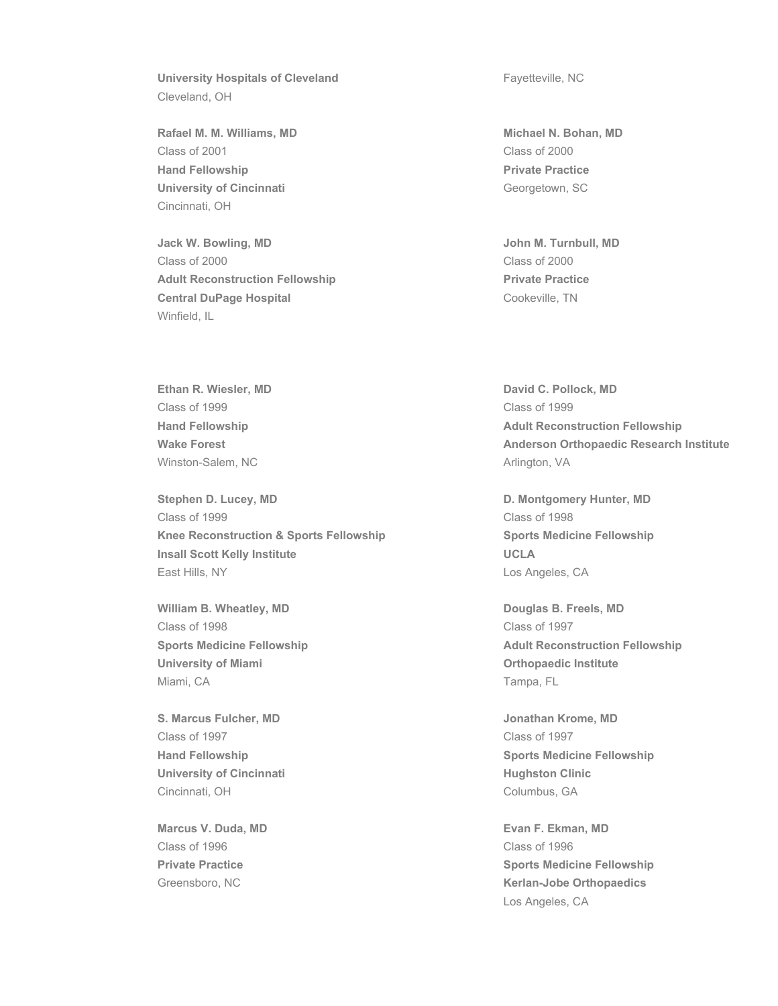University Hospitals of Cleveland **Fayetteville, NC** Cleveland, OH

**Rafael M. M. Williams, MD Michael N. Bohan, MD** Class of 2001 Class of 2000 **Hand Fellowship Private Practice University of Cincinnati** Georgetown, SC Cincinnati, OH

**Jack W. Bowling, MD John M. Turnbull, MD** Class of 2000 Class of 2000 Adult Reconstruction Fellowship **Private Practice** Practice **Central DuPage Hospital Cookeville, TN** Winfield, IL

**Ethan R. Wiesler, MD David C. Pollock, MD** Class of 1999 Class of 1999 Winston-Salem, NC Arlington, VA

**Stephen D. Lucey, MD D. Montgomery Hunter, MD** Class of 1999 Class of 1998 **Knee Reconstruction & Sports Fellowship Sports Medicine Fellowship Insall Scott Kelly Institute UCLA** East Hills, NY **Los Angeles, CA** 

William B. Wheatley, MD **Douglas B. Freels, MD** Class of 1998 Class of 1997 University of Miami **National Control of Miami Orthopaedic Institute** Miami, CA Tampa, FL

**S. Marcus Fulcher, MD Jonathan Krome, MD** Class of 1997 Class of 1997 University of Cincinnati **Hughston Clinic Hughston Clinic** Cincinnati, OH Columbus, GA

Class of 1996 Class of 1996

**Hand Fellowship Community Community Adult Reconstruction Fellowship** Wake Forest **Anderson Orthopaedic Research Institute** 

**Sports Medicine Fellowship Adult Reconstruction Fellowship Adult Reconstruction Fellowship** 

**Hand Fellowship Sports Medicine Fellowship** Sports Medicine Fellowship

**Marcus V. Duda, MD Evan F. Ekman, MD Private Practice Sports Medicine Fellowship** Greensboro, NC **Kerlan-Jobe Orthopaedics** Los Angeles, CA